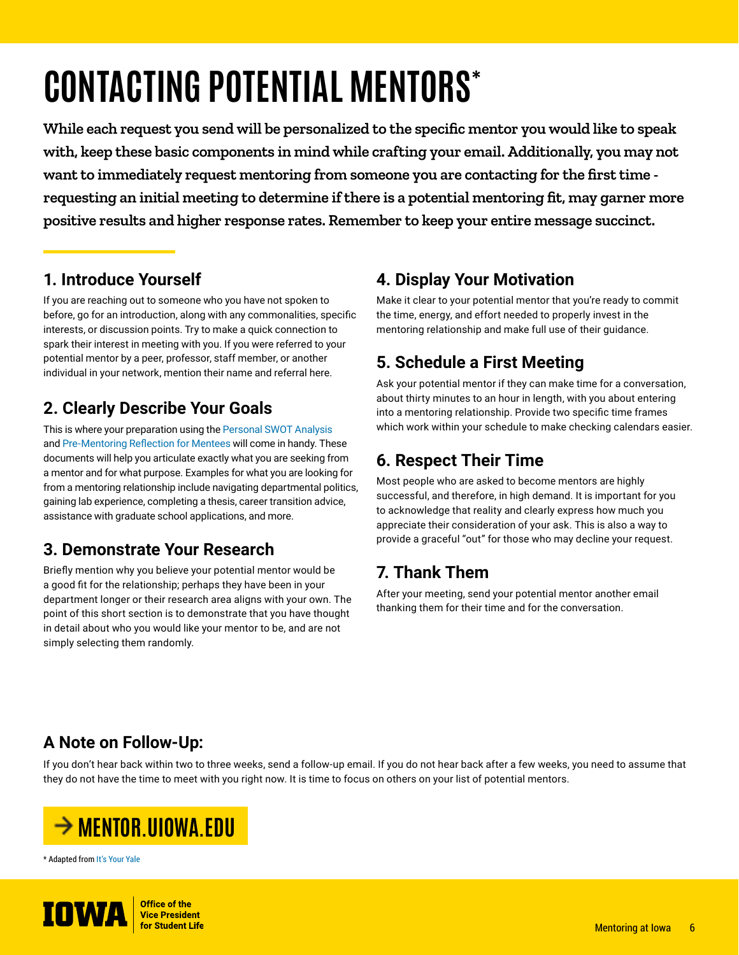# **CONTACTING POTENTIAL MENTORS\***

**While each request you send will be personalized to the specific mentor you would like to speak with, keep these basic components in mind while crafting your email. Additionally, you may not want to immediately request mentoring from someone you are contacting for the first time requesting an initial meeting to determine if there is a potential mentoring fit, may garner more positive results and higher response rates. Remember to keep your entire message succinct.**

#### **1. Introduce Yourself**

If you are reaching out to someone who you have not spoken to before, go for an introduction, along with any commonalities, specific interests, or discussion points. Try to make a quick connection to spark their interest in meeting with you. If you were referred to your potential mentor by a peer, professor, staff member, or another individual in your network, mention their name and referral here.

## **2. Clearly Describe Your Goals**

This is where your preparation using the [Personal SWOT Analysis](https://mentor.uiowa.edu/sites/mentor.uiowa.edu/files/imports/Mentoring-Resources/Personal-SWOT-Evaluation-Mentees.pdf) and [Pre-Mentoring Reflection for Mentees](https://mentor.uiowa.edu/sites/mentor.uiowa.edu/files/imports/Mentoring-Resources/Reflection-for-Mentees.pdf) will come in handy. These documents will help you articulate exactly what you are seeking from a mentor and for what purpose. Examples for what you are looking for from a mentoring relationship include navigating departmental politics, gaining lab experience, completing a thesis, career transition advice, assistance with graduate school applications, and more.

## **3. Demonstrate Your Research**

Briefly mention why you believe your potential mentor would be a good fit for the relationship; perhaps they have been in your department longer or their research area aligns with your own. The point of this short section is to demonstrate that you have thought in detail about who you would like your mentor to be, and are not simply selecting them randomly.

### **4. Display Your Motivation**

Make it clear to your potential mentor that you're ready to commit the time, energy, and effort needed to properly invest in the mentoring relationship and make full use of their guidance.

## **5. Schedule a First Meeting**

Ask your potential mentor if they can make time for a conversation, about thirty minutes to an hour in length, with you about entering into a mentoring relationship. Provide two specific time frames which work within your schedule to make checking calendars easier.

### **6. Respect Their Time**

Most people who are asked to become mentors are highly successful, and therefore, in high demand. It is important for you to acknowledge that reality and clearly express how much you appreciate their consideration of your ask. This is also a way to provide a graceful "out" for those who may decline your request.

# **7. Thank Them**

After your meeting, send your potential mentor another email thanking them for their time and for the conversation.

# **A Note on Follow-Up:**

If you don't hear back within two to three weeks, send a follow-up email. If you do not hear back after a few weeks, you need to assume that they do not have the time to meet with you right now. It is time to focus on others on your list of potential mentors.



\* Adapted from [It's Your Yale](https://your.yale.edu/work-yale/learn-and-grow/career-development/mentoring/how-ask-someone-mentor-you)